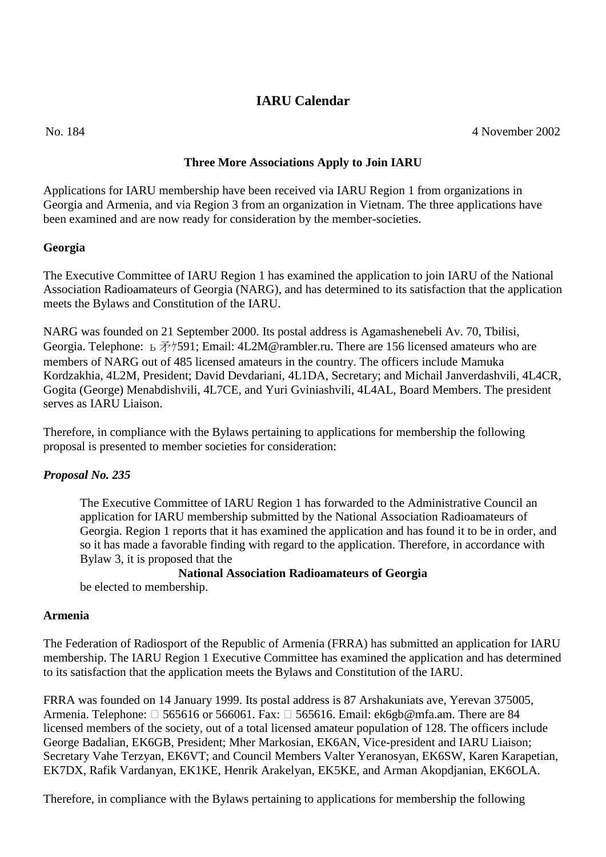# **IARU Calendar**

No. 184 4 November 2002

# **Three More Associations Apply to Join IARU**

Applications for IARU membership have been received via IARU Region 1 from organizations in Georgia and Armenia, and via Region 3 from an organization in Vietnam. The three applications have been examined and are now ready for consideration by the member-societies.

# **Georgia**

The Executive Committee of IARU Region 1 has examined the application to join IARU of the National Association Radioamateurs of Georgia (NARG), and has determined to its satisfaction that the application meets the Bylaws and Constitution of the IARU.

NARG was founded on 21 September 2000. Its postal address is Agamashenebeli Av. 70, Tbilisi, Georgia. Telephone:  $\overline{6}$   $\overline{7}$ / $\overline{7}$ 591; Email: 4L2M@rambler.ru. There are 156 licensed amateurs who are members of NARG out of 485 licensed amateurs in the country. The officers include Mamuka Kordzakhia, 4L2M, President; David Devdariani, 4L1DA, Secretary; and Michail Janverdashvili, 4L4CR, Gogita (George) Menabdishvili, 4L7CE, and Yuri Gviniashvili, 4L4AL, Board Members. The president serves as IARU Liaison.

Therefore, in compliance with the Bylaws pertaining to applications for membership the following proposal is presented to member societies for consideration:

# *Proposal No. 235*

The Executive Committee of IARU Region 1 has forwarded to the Administrative Council an application for IARU membership submitted by the National Association Radioamateurs of Georgia. Region 1 reports that it has examined the application and has found it to be in order, and so it has made a favorable finding with regard to the application. Therefore, in accordance with Bylaw 3, it is proposed that the

#### **National Association Radioamateurs of Georgia**

be elected to membership.

#### **Armenia**

The Federation of Radiosport of the Republic of Armenia (FRRA) has submitted an application for IARU membership. The IARU Region 1 Executive Committee has examined the application and has determined to its satisfaction that the application meets the Bylaws and Constitution of the IARU.

FRRA was founded on 14 January 1999. Its postal address is 87 Arshakuniats ave, Yerevan 375005, Armenia. Telephone:  $\Box$  565616 or 566061. Fax:  $\Box$  565616. Email: ek6gb@mfa.am. There are 84 licensed members of the society, out of a total licensed amateur population of 128. The officers include George Badalian, EK6GB, President; Mher Markosian, EK6AN, Vice-president and IARU Liaison; Secretary Vahe Terzyan, EK6VT; and Council Members Valter Yeranosyan, EK6SW, Karen Karapetian, EK7DX, Rafik Vardanyan, EK1KE, Henrik Arakelyan, EK5KE, and Arman Akopdjanian, EK6OLA.

Therefore, in compliance with the Bylaws pertaining to applications for membership the following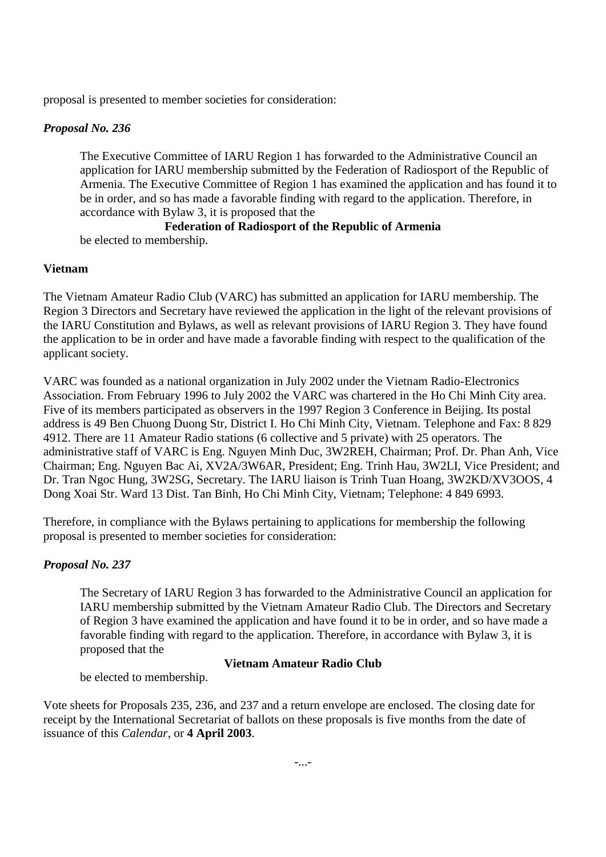proposal is presented to member societies for consideration:

# *Proposal No. 236*

The Executive Committee of IARU Region 1 has forwarded to the Administrative Council an application for IARU membership submitted by the Federation of Radiosport of the Republic of Armenia. The Executive Committee of Region 1 has examined the application and has found it to be in order, and so has made a favorable finding with regard to the application. Therefore, in accordance with Bylaw 3, it is proposed that the

#### **Federation of Radiosport of the Republic of Armenia** be elected to membership.

# **Vietnam**

The Vietnam Amateur Radio Club (VARC) has submitted an application for IARU membership. The Region 3 Directors and Secretary have reviewed the application in the light of the relevant provisions of the IARU Constitution and Bylaws, as well as relevant provisions of IARU Region 3. They have found the application to be in order and have made a favorable finding with respect to the qualification of the applicant society.

VARC was founded as a national organization in July 2002 under the Vietnam Radio-Electronics Association. From February 1996 to July 2002 the VARC was chartered in the Ho Chi Minh City area. Five of its members participated as observers in the 1997 Region 3 Conference in Beijing. Its postal address is 49 Ben Chuong Duong Str, District I. Ho Chi Minh City, Vietnam. Telephone and Fax: 8 829 4912. There are 11 Amateur Radio stations (6 collective and 5 private) with 25 operators. The administrative staff of VARC is Eng. Nguyen Minh Duc, 3W2REH, Chairman; Prof. Dr. Phan Anh, Vice Chairman; Eng. Nguyen Bac Ai, XV2A/3W6AR, President; Eng. Trinh Hau, 3W2LI, Vice President; and Dr. Tran Ngoc Hung, 3W2SG, Secretary. The IARU liaison is Trinh Tuan Hoang, 3W2KD/XV3OOS, 4 Dong Xoai Str. Ward 13 Dist. Tan Binh, Ho Chi Minh City, Vietnam; Telephone: 4 849 6993.

Therefore, in compliance with the Bylaws pertaining to applications for membership the following proposal is presented to member societies for consideration:

# *Proposal No. 237*

The Secretary of IARU Region 3 has forwarded to the Administrative Council an application for IARU membership submitted by the Vietnam Amateur Radio Club. The Directors and Secretary of Region 3 have examined the application and have found it to be in order, and so have made a favorable finding with regard to the application. Therefore, in accordance with Bylaw 3, it is proposed that the

#### **Vietnam Amateur Radio Club**

be elected to membership.

Vote sheets for Proposals 235, 236, and 237 and a return envelope are enclosed. The closing date for receipt by the International Secretariat of ballots on these proposals is five months from the date of issuance of this *Calendar*, or **4 April 2003**.